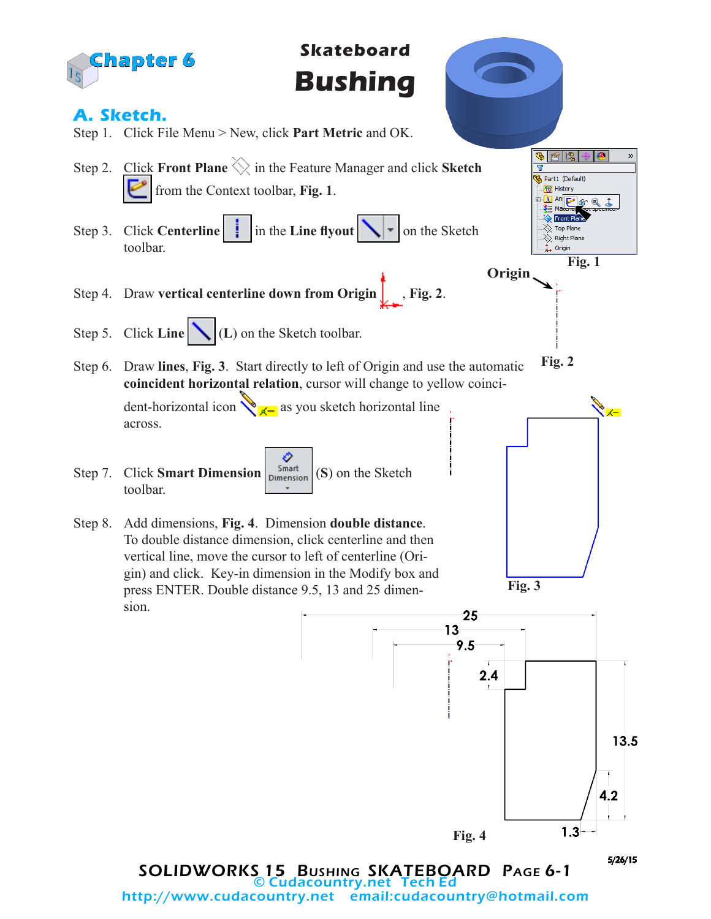

© Cudacountry.net Tech Ed email:cudacountry@hotmail.com